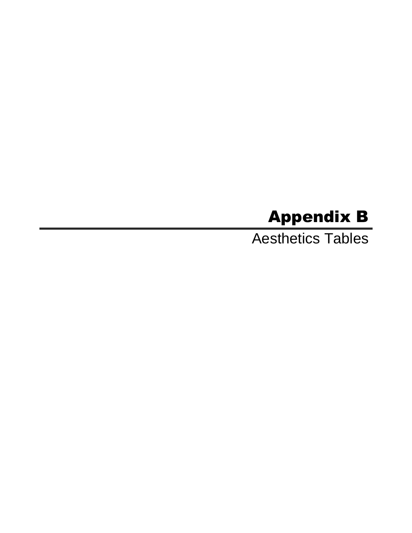# Appendix B

Aesthetics Tables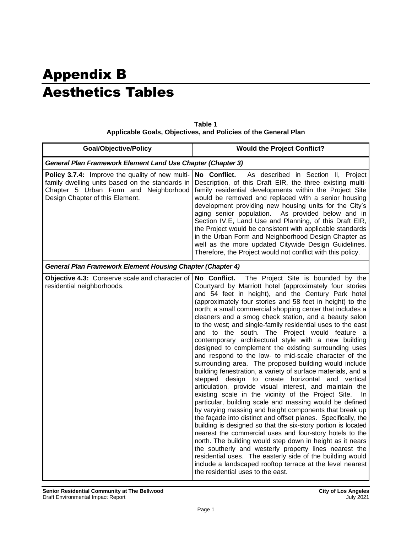# Appendix B Aesthetics Tables

| <b>Goal/Objective/Policy</b>                                                                                                                                                   | <b>Would the Project Conflict?</b>                                                                                                                                                                                                                                                                                                                                                                                                                                                                                                                                                                                                                                                                                                                                                                                                                                                                                                                                                                                                                                                                                                                                                                                                                                                                                                                                                                                                                                                                                                                            |
|--------------------------------------------------------------------------------------------------------------------------------------------------------------------------------|---------------------------------------------------------------------------------------------------------------------------------------------------------------------------------------------------------------------------------------------------------------------------------------------------------------------------------------------------------------------------------------------------------------------------------------------------------------------------------------------------------------------------------------------------------------------------------------------------------------------------------------------------------------------------------------------------------------------------------------------------------------------------------------------------------------------------------------------------------------------------------------------------------------------------------------------------------------------------------------------------------------------------------------------------------------------------------------------------------------------------------------------------------------------------------------------------------------------------------------------------------------------------------------------------------------------------------------------------------------------------------------------------------------------------------------------------------------------------------------------------------------------------------------------------------------|
| <b>General Plan Framework Element Land Use Chapter (Chapter 3)</b>                                                                                                             |                                                                                                                                                                                                                                                                                                                                                                                                                                                                                                                                                                                                                                                                                                                                                                                                                                                                                                                                                                                                                                                                                                                                                                                                                                                                                                                                                                                                                                                                                                                                                               |
| Policy 3.7.4: Improve the quality of new multi-<br>family dwelling units based on the standards in<br>Chapter 5 Urban Form and Neighborhood<br>Design Chapter of this Element. | As described in Section II, Project<br>No Conflict.<br>Description, of this Draft EIR, the three existing multi-<br>family residential developments within the Project Site<br>would be removed and replaced with a senior housing<br>development providing new housing units for the City's<br>As provided below and in<br>aging senior population.<br>Section IV.E, Land Use and Planning, of this Draft EIR,<br>the Project would be consistent with applicable standards<br>in the Urban Form and Neighborhood Design Chapter as<br>well as the more updated Citywide Design Guidelines.<br>Therefore, the Project would not conflict with this policy.                                                                                                                                                                                                                                                                                                                                                                                                                                                                                                                                                                                                                                                                                                                                                                                                                                                                                                   |
| <b>General Plan Framework Element Housing Chapter (Chapter 4)</b>                                                                                                              |                                                                                                                                                                                                                                                                                                                                                                                                                                                                                                                                                                                                                                                                                                                                                                                                                                                                                                                                                                                                                                                                                                                                                                                                                                                                                                                                                                                                                                                                                                                                                               |
| Objective 4.3: Conserve scale and character of<br>residential neighborhoods.                                                                                                   | No Conflict.<br>The Project Site is bounded by the<br>Courtyard by Marriott hotel (approximately four stories<br>and 54 feet in height), and the Century Park hotel<br>(approximately four stories and 58 feet in height) to the<br>north; a small commercial shopping center that includes a<br>cleaners and a smog check station, and a beauty salon<br>to the west; and single-family residential uses to the east<br>and to the south. The Project would feature a<br>contemporary architectural style with a new building<br>designed to complement the existing surrounding uses<br>and respond to the low- to mid-scale character of the<br>surrounding area. The proposed building would include<br>building fenestration, a variety of surface materials, and a<br>stepped design to create horizontal and vertical<br>articulation, provide visual interest, and maintain the<br>existing scale in the vicinity of the Project Site.<br>In.<br>particular, building scale and massing would be defined<br>by varying massing and height components that break up<br>the façade into distinct and offset planes. Specifically, the<br>building is designed so that the six-story portion is located<br>nearest the commercial uses and four-story hotels to the<br>north. The building would step down in height as it nears<br>the southerly and westerly property lines nearest the<br>residential uses. The easterly side of the building would<br>include a landscaped rooftop terrace at the level nearest<br>the residential uses to the east. |

| Table 1                                                        |  |
|----------------------------------------------------------------|--|
| Applicable Goals, Objectives, and Policies of the General Plan |  |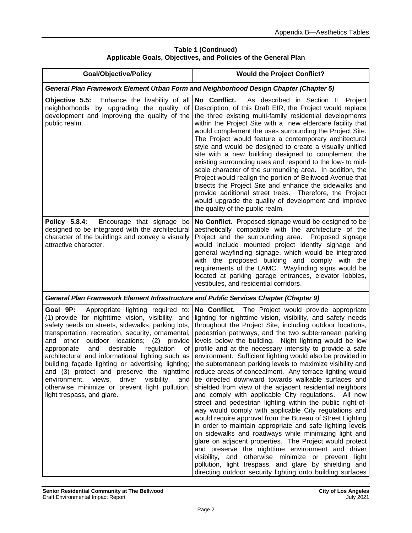#### **Table 1 (Continued) Applicable Goals, Objectives, and Policies of the General Plan**

| <b>Goal/Objective/Policy</b>                                                                                                                                                                                                                                                                                                                                                                                                                                                                                                                                                                                  | <b>Would the Project Conflict?</b>                                                                                                                                                                                                                                                                                                                                                                                                                                                                                                                                                                                                                                                                                                                                                                                                                                                                                                                                                 |
|---------------------------------------------------------------------------------------------------------------------------------------------------------------------------------------------------------------------------------------------------------------------------------------------------------------------------------------------------------------------------------------------------------------------------------------------------------------------------------------------------------------------------------------------------------------------------------------------------------------|------------------------------------------------------------------------------------------------------------------------------------------------------------------------------------------------------------------------------------------------------------------------------------------------------------------------------------------------------------------------------------------------------------------------------------------------------------------------------------------------------------------------------------------------------------------------------------------------------------------------------------------------------------------------------------------------------------------------------------------------------------------------------------------------------------------------------------------------------------------------------------------------------------------------------------------------------------------------------------|
| General Plan Framework Element Urban Form and Neighborhood Design Chapter (Chapter 5)                                                                                                                                                                                                                                                                                                                                                                                                                                                                                                                         |                                                                                                                                                                                                                                                                                                                                                                                                                                                                                                                                                                                                                                                                                                                                                                                                                                                                                                                                                                                    |
| Enhance the livability of all<br>Objective 5.5:<br>neighborhoods by upgrading the quality of<br>development and improving the quality of the<br>public realm.                                                                                                                                                                                                                                                                                                                                                                                                                                                 | No Conflict.<br>As described in Section II, Project<br>Description, of this Draft EIR, the Project would replace<br>the three existing multi-family residential developments<br>within the Project Site with a new eldercare facility that<br>would complement the uses surrounding the Project Site.<br>The Project would feature a contemporary architectural<br>style and would be designed to create a visually unified<br>site with a new building designed to complement the<br>existing surrounding uses and respond to the low- to mid-<br>scale character of the surrounding area. In addition, the<br>Project would realign the portion of Bellwood Avenue that<br>bisects the Project Site and enhance the sidewalks and<br>provide additional street trees. Therefore, the Project<br>would upgrade the quality of development and improve<br>the quality of the public realm.                                                                                         |
| Policy 5.8.4:<br>Encourage that signage be<br>designed to be integrated with the architectural<br>character of the buildings and convey a visually<br>attractive character.                                                                                                                                                                                                                                                                                                                                                                                                                                   | No Conflict. Proposed signage would be designed to be<br>aesthetically compatible with the architecture of the<br>Project and the surrounding area. Proposed signage<br>would include mounted project identity signage and<br>general wayfinding signage, which would be integrated<br>with the proposed building and comply with the<br>requirements of the LAMC. Wayfinding signs would be<br>located at parking garage entrances, elevator lobbies,<br>vestibules, and residential corridors.                                                                                                                                                                                                                                                                                                                                                                                                                                                                                   |
| General Plan Framework Element Infrastructure and Public Services Chapter (Chapter 9)                                                                                                                                                                                                                                                                                                                                                                                                                                                                                                                         |                                                                                                                                                                                                                                                                                                                                                                                                                                                                                                                                                                                                                                                                                                                                                                                                                                                                                                                                                                                    |
| Goal 9P:<br>Appropriate lighting required to:<br>(1) provide for nighttime vision, visibility, and<br>safety needs on streets, sidewalks, parking lots,<br>transportation, recreation, security, ornamental,<br>outdoor locations; (2)<br>and other<br>provide<br>appropriate<br>desirable<br>regulation<br>and<br>0f<br>architectural and informational lighting such as<br>building façade lighting or advertising lighting;<br>and (3) protect and preserve the nighttime<br>environment, views, driver visibility,<br>and<br>otherwise minimize or prevent light pollution,<br>light trespass, and glare. | No Conflict.<br>The Project would provide appropriate<br>lighting for nighttime vision, visibility, and safety needs<br>throughout the Project Site, including outdoor locations,<br>pedestrian pathways, and the two subterranean parking<br>levels below the building. Night lighting would be low<br>profile and at the necessary intensity to provide a safe<br>environment. Sufficient lighting would also be provided in<br>the subterranean parking levels to maximize visibility and<br>reduce areas of concealment. Any terrace lighting would<br>be directed downward towards walkable surfaces and<br>shielded from view of the adjacent residential neighbors<br>and comply with applicable City regulations. All new<br>street and pedestrian lighting within the public right-of-<br>way would comply with applicable City regulations and<br>would require approval from the Bureau of Street Lighting<br>in order to maintain appropriate and safe lighting levels |

on sidewalks and roadways while minimizing light and glare on adjacent properties. The Project would protect and preserve the nighttime environment and driver visibility, and otherwise minimize or prevent light pollution, light trespass, and glare by shielding and directing outdoor security lighting onto building surfaces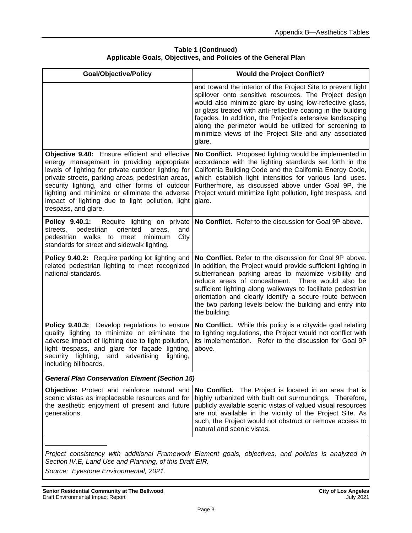| <b>Goal/Objective/Policy</b>                                                                                                                                                                                                                                                                                                                                                            | <b>Would the Project Conflict?</b>                                                                                                                                                                                                                                                                                                                                                                                                              |
|-----------------------------------------------------------------------------------------------------------------------------------------------------------------------------------------------------------------------------------------------------------------------------------------------------------------------------------------------------------------------------------------|-------------------------------------------------------------------------------------------------------------------------------------------------------------------------------------------------------------------------------------------------------------------------------------------------------------------------------------------------------------------------------------------------------------------------------------------------|
|                                                                                                                                                                                                                                                                                                                                                                                         | and toward the interior of the Project Site to prevent light<br>spillover onto sensitive resources. The Project design<br>would also minimize glare by using low-reflective glass,<br>or glass treated with anti-reflective coating in the building<br>façades. In addition, the Project's extensive landscaping<br>along the perimeter would be utilized for screening to<br>minimize views of the Project Site and any associated<br>glare.   |
| Objective 9.40: Ensure efficient and effective<br>energy management in providing appropriate<br>levels of lighting for private outdoor lighting for<br>private streets, parking areas, pedestrian areas,<br>security lighting, and other forms of outdoor<br>lighting and minimize or eliminate the adverse<br>impact of lighting due to light pollution, light<br>trespass, and glare. | No Conflict. Proposed lighting would be implemented in<br>accordance with the lighting standards set forth in the<br>California Building Code and the California Energy Code,<br>which establish light intensities for various land uses.<br>Furthermore, as discussed above under Goal 9P, the<br>Project would minimize light pollution, light trespass, and<br>glare.                                                                        |
| Require lighting on private<br>Policy 9.40.1:<br>oriented<br>streets, pedestrian<br>and<br>areas,<br>pedestrian walks to meet minimum<br>City<br>standards for street and sidewalk lighting.                                                                                                                                                                                            | No Conflict. Refer to the discussion for Goal 9P above.                                                                                                                                                                                                                                                                                                                                                                                         |
| Policy 9.40.2: Require parking lot lighting and<br>related pedestrian lighting to meet recognized<br>national standards.                                                                                                                                                                                                                                                                | No Conflict. Refer to the discussion for Goal 9P above.<br>In addition, the Project would provide sufficient lighting in<br>subterranean parking areas to maximize visibility and<br>reduce areas of concealment.<br>There would also be<br>sufficient lighting along walkways to facilitate pedestrian<br>orientation and clearly identify a secure route between<br>the two parking levels below the building and entry into<br>the building. |
| Policy 9.40.3: Develop regulations to ensure<br>quality lighting to minimize or eliminate the<br>adverse impact of lighting due to light pollution,<br>light trespass, and glare for façade lighting,<br>and<br>security<br>lighting,<br>advertising<br>lighting,<br>including billboards.                                                                                              | No Conflict. While this policy is a citywide goal relating<br>to lighting regulations, the Project would not conflict with<br>its implementation. Refer to the discussion for Goal 9P<br>above.                                                                                                                                                                                                                                                 |
| <b>General Plan Conservation Element (Section 15)</b>                                                                                                                                                                                                                                                                                                                                   |                                                                                                                                                                                                                                                                                                                                                                                                                                                 |
| Objective: Protect and reinforce natural and<br>scenic vistas as irreplaceable resources and for<br>the aesthetic enjoyment of present and future<br>generations.                                                                                                                                                                                                                       | No Conflict. The Project is located in an area that is<br>highly urbanized with built out surroundings. Therefore,<br>publicly available scenic vistas of valued visual resources<br>are not available in the vicinity of the Project Site. As<br>such, the Project would not obstruct or remove access to<br>natural and scenic vistas.                                                                                                        |
| Project consistency with additional Framework Element goals, objectives, and policies is analyzed in<br>Section IV.E, Land Use and Planning, of this Draft EIR.                                                                                                                                                                                                                         |                                                                                                                                                                                                                                                                                                                                                                                                                                                 |

#### **Table 1 (Continued) Applicable Goals, Objectives, and Policies of the General Plan**

*Source: Eyestone Environmental, 2021.*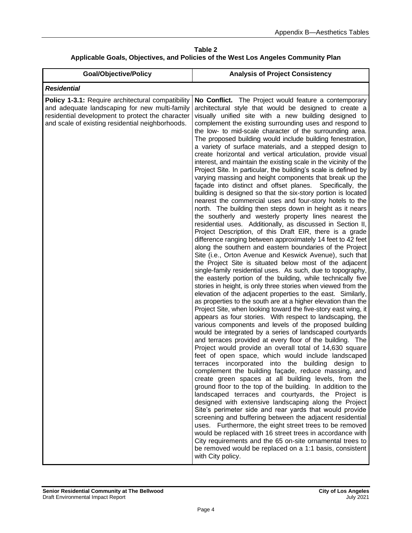**Table 2 Applicable Goals, Objectives, and Policies of the West Los Angeles Community Plan**

| <b>Goal/Objective/Policy</b>                                                                                                                                                                               | <b>Analysis of Project Consistency</b>                                                                                                                                                                                                                                                                                                                                                                                                                                                                                                                                                                                                                                                                                                                                                                                                                                                                                                                                                                                                                                                                                                                                                                                                                                                                                                                                                                                                                                                                                                                                                                                                                                                                                                                                                                                                                                                                                                                                                                                                                                                                                                                                                                                                                                                                                                                                                                                                                                                                                                                                                                                                                                                                                                                                                                                                                                                                    |
|------------------------------------------------------------------------------------------------------------------------------------------------------------------------------------------------------------|-----------------------------------------------------------------------------------------------------------------------------------------------------------------------------------------------------------------------------------------------------------------------------------------------------------------------------------------------------------------------------------------------------------------------------------------------------------------------------------------------------------------------------------------------------------------------------------------------------------------------------------------------------------------------------------------------------------------------------------------------------------------------------------------------------------------------------------------------------------------------------------------------------------------------------------------------------------------------------------------------------------------------------------------------------------------------------------------------------------------------------------------------------------------------------------------------------------------------------------------------------------------------------------------------------------------------------------------------------------------------------------------------------------------------------------------------------------------------------------------------------------------------------------------------------------------------------------------------------------------------------------------------------------------------------------------------------------------------------------------------------------------------------------------------------------------------------------------------------------------------------------------------------------------------------------------------------------------------------------------------------------------------------------------------------------------------------------------------------------------------------------------------------------------------------------------------------------------------------------------------------------------------------------------------------------------------------------------------------------------------------------------------------------------------------------------------------------------------------------------------------------------------------------------------------------------------------------------------------------------------------------------------------------------------------------------------------------------------------------------------------------------------------------------------------------------------------------------------------------------------------------------------------------|
| <b>Residential</b>                                                                                                                                                                                         |                                                                                                                                                                                                                                                                                                                                                                                                                                                                                                                                                                                                                                                                                                                                                                                                                                                                                                                                                                                                                                                                                                                                                                                                                                                                                                                                                                                                                                                                                                                                                                                                                                                                                                                                                                                                                                                                                                                                                                                                                                                                                                                                                                                                                                                                                                                                                                                                                                                                                                                                                                                                                                                                                                                                                                                                                                                                                                           |
| Policy 1-3.1: Require architectural compatibility<br>and adequate landscaping for new multi-family<br>residential development to protect the character<br>and scale of existing residential neighborhoods. | No Conflict. The Project would feature a contemporary<br>architectural style that would be designed to create a<br>visually unified site with a new building designed to<br>complement the existing surrounding uses and respond to<br>the low- to mid-scale character of the surrounding area.<br>The proposed building would include building fenestration,<br>a variety of surface materials, and a stepped design to<br>create horizontal and vertical articulation, provide visual<br>interest, and maintain the existing scale in the vicinity of the<br>Project Site. In particular, the building's scale is defined by<br>varying massing and height components that break up the<br>façade into distinct and offset planes.<br>Specifically, the<br>building is designed so that the six-story portion is located<br>nearest the commercial uses and four-story hotels to the<br>north. The building then steps down in height as it nears<br>the southerly and westerly property lines nearest the<br>residential uses. Additionally, as discussed in Section II,<br>Project Description, of this Draft EIR, there is a grade<br>difference ranging between approximately 14 feet to 42 feet<br>along the southern and eastern boundaries of the Project<br>Site (i.e., Orton Avenue and Keswick Avenue), such that<br>the Project Site is situated below most of the adjacent<br>single-family residential uses. As such, due to topography,<br>the easterly portion of the building, while technically five<br>stories in height, is only three stories when viewed from the<br>elevation of the adjacent properties to the east. Similarly,<br>as properties to the south are at a higher elevation than the<br>Project Site, when looking toward the five-story east wing, it<br>appears as four stories. With respect to landscaping, the<br>various components and levels of the proposed building<br>would be integrated by a series of landscaped courtyards<br>and terraces provided at every floor of the building. The<br>Project would provide an overall total of 14,630 square<br>feet of open space, which would include landscaped<br>terraces incorporated into the building design to<br>complement the building façade, reduce massing, and<br>create green spaces at all building levels, from the<br>ground floor to the top of the building. In addition to the<br>landscaped terraces and courtyards, the Project is<br>designed with extensive landscaping along the Project<br>Site's perimeter side and rear yards that would provide<br>screening and buffering between the adjacent residential<br>uses. Furthermore, the eight street trees to be removed<br>would be replaced with 16 street trees in accordance with<br>City requirements and the 65 on-site ornamental trees to<br>be removed would be replaced on a 1:1 basis, consistent<br>with City policy. |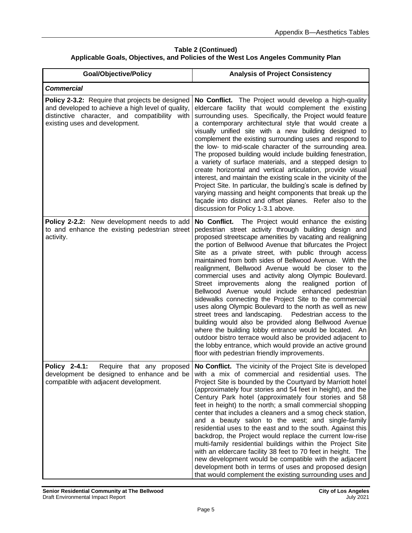## **Table 2 (Continued) Applicable Goals, Objectives, and Policies of the West Los Angeles Community Plan**

| <b>Goal/Objective/Policy</b>                                                                                                                                                            | <b>Analysis of Project Consistency</b>                                                                                                                                                                                                                                                                                                                                                                                                                                                                                                                                                                                                                                                                                                                                                                                                                                                                                                                                                                                                                                 |
|-----------------------------------------------------------------------------------------------------------------------------------------------------------------------------------------|------------------------------------------------------------------------------------------------------------------------------------------------------------------------------------------------------------------------------------------------------------------------------------------------------------------------------------------------------------------------------------------------------------------------------------------------------------------------------------------------------------------------------------------------------------------------------------------------------------------------------------------------------------------------------------------------------------------------------------------------------------------------------------------------------------------------------------------------------------------------------------------------------------------------------------------------------------------------------------------------------------------------------------------------------------------------|
| <b>Commercial</b>                                                                                                                                                                       |                                                                                                                                                                                                                                                                                                                                                                                                                                                                                                                                                                                                                                                                                                                                                                                                                                                                                                                                                                                                                                                                        |
| Policy 2-3.2: Require that projects be designed<br>and developed to achieve a high level of quality,<br>distinctive character, and compatibility with<br>existing uses and development. | No Conflict. The Project would develop a high-quality<br>eldercare facility that would complement the existing<br>surrounding uses. Specifically, the Project would feature<br>a contemporary architectural style that would create a<br>visually unified site with a new building designed to<br>complement the existing surrounding uses and respond to<br>the low- to mid-scale character of the surrounding area.<br>The proposed building would include building fenestration,<br>a variety of surface materials, and a stepped design to<br>create horizontal and vertical articulation, provide visual<br>interest, and maintain the existing scale in the vicinity of the<br>Project Site. In particular, the building's scale is defined by<br>varying massing and height components that break up the<br>façade into distinct and offset planes. Refer also to the<br>discussion for Policy 1-3.1 above.                                                                                                                                                     |
| Policy 2-2.2: New development needs to add<br>to and enhance the existing pedestrian street<br>activity.                                                                                | No Conflict. The Project would enhance the existing<br>pedestrian street activity through building design and<br>proposed streetscape amenities by vacating and realigning<br>the portion of Bellwood Avenue that bifurcates the Project<br>Site as a private street, with public through access<br>maintained from both sides of Bellwood Avenue. With the<br>realignment, Bellwood Avenue would be closer to the<br>commercial uses and activity along Olympic Boulevard.<br>Street improvements along the realigned portion of<br>Bellwood Avenue would include enhanced pedestrian<br>sidewalks connecting the Project Site to the commercial<br>uses along Olympic Boulevard to the north as well as new<br>street trees and landscaping.<br>Pedestrian access to the<br>building would also be provided along Bellwood Avenue<br>where the building lobby entrance would be located. An<br>outdoor bistro terrace would also be provided adjacent to<br>the lobby entrance, which would provide an active ground<br>floor with pedestrian friendly improvements. |
| Policy 2-4.1: Require that any proposed<br>development be designed to enhance and be<br>compatible with adjacent development.                                                           | No Conflict. The vicinity of the Project Site is developed<br>with a mix of commercial and residential uses. The<br>Project Site is bounded by the Courtyard by Marriott hotel<br>(approximately four stories and 54 feet in height), and the<br>Century Park hotel (approximately four stories and 58<br>feet in height) to the north; a small commercial shopping<br>center that includes a cleaners and a smog check station,<br>and a beauty salon to the west; and single-family<br>residential uses to the east and to the south. Against this<br>backdrop, the Project would replace the current low-rise<br>multi-family residential buildings within the Project Site<br>with an eldercare facility 38 feet to 70 feet in height. The<br>new development would be compatible with the adjacent<br>development both in terms of uses and proposed design<br>that would complement the existing surrounding uses and                                                                                                                                            |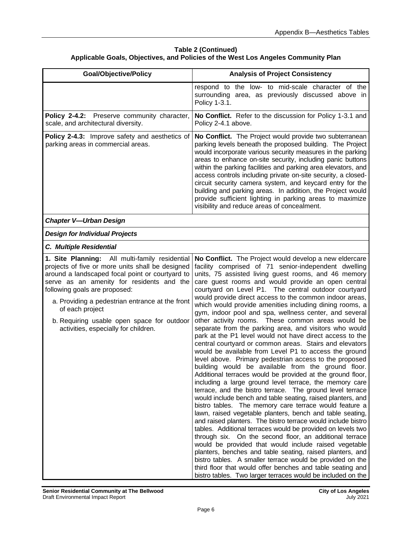#### **Table 2 (Continued) Applicable Goals, Objectives, and Policies of the West Los Angeles Community Plan**

| <b>Goal/Objective/Policy</b>                                                                                                                                                                                                                                                                                                                                                                    | <b>Analysis of Project Consistency</b>                                                                                                                                                                                                                                                                                                                                                                                                                                                                                                                                                                                                                                                                                                                                                                                                                                                                                                                                                                                                                                                                                                                                                                                                                                                                                                                                                                                                                                                                                                                                                                                                                                                                                                                                    |
|-------------------------------------------------------------------------------------------------------------------------------------------------------------------------------------------------------------------------------------------------------------------------------------------------------------------------------------------------------------------------------------------------|---------------------------------------------------------------------------------------------------------------------------------------------------------------------------------------------------------------------------------------------------------------------------------------------------------------------------------------------------------------------------------------------------------------------------------------------------------------------------------------------------------------------------------------------------------------------------------------------------------------------------------------------------------------------------------------------------------------------------------------------------------------------------------------------------------------------------------------------------------------------------------------------------------------------------------------------------------------------------------------------------------------------------------------------------------------------------------------------------------------------------------------------------------------------------------------------------------------------------------------------------------------------------------------------------------------------------------------------------------------------------------------------------------------------------------------------------------------------------------------------------------------------------------------------------------------------------------------------------------------------------------------------------------------------------------------------------------------------------------------------------------------------------|
|                                                                                                                                                                                                                                                                                                                                                                                                 | respond to the low- to mid-scale character of the<br>surrounding area, as previously discussed above in<br>Policy 1-3.1.                                                                                                                                                                                                                                                                                                                                                                                                                                                                                                                                                                                                                                                                                                                                                                                                                                                                                                                                                                                                                                                                                                                                                                                                                                                                                                                                                                                                                                                                                                                                                                                                                                                  |
| Policy 2-4.2: Preserve community character,<br>scale, and architectural diversity.                                                                                                                                                                                                                                                                                                              | No Conflict. Refer to the discussion for Policy 1-3.1 and<br>Policy 2-4.1 above.                                                                                                                                                                                                                                                                                                                                                                                                                                                                                                                                                                                                                                                                                                                                                                                                                                                                                                                                                                                                                                                                                                                                                                                                                                                                                                                                                                                                                                                                                                                                                                                                                                                                                          |
| Policy 2-4.3: Improve safety and aesthetics of<br>parking areas in commercial areas.                                                                                                                                                                                                                                                                                                            | No Conflict. The Project would provide two subterranean<br>parking levels beneath the proposed building. The Project<br>would incorporate various security measures in the parking<br>areas to enhance on-site security, including panic buttons<br>within the parking facilities and parking area elevators, and<br>access controls including private on-site security, a closed-<br>circuit security camera system, and keycard entry for the<br>building and parking areas. In addition, the Project would<br>provide sufficient lighting in parking areas to maximize<br>visibility and reduce areas of concealment.                                                                                                                                                                                                                                                                                                                                                                                                                                                                                                                                                                                                                                                                                                                                                                                                                                                                                                                                                                                                                                                                                                                                                  |
| <b>Chapter V-Urban Design</b>                                                                                                                                                                                                                                                                                                                                                                   |                                                                                                                                                                                                                                                                                                                                                                                                                                                                                                                                                                                                                                                                                                                                                                                                                                                                                                                                                                                                                                                                                                                                                                                                                                                                                                                                                                                                                                                                                                                                                                                                                                                                                                                                                                           |
| <b>Design for Individual Projects</b>                                                                                                                                                                                                                                                                                                                                                           |                                                                                                                                                                                                                                                                                                                                                                                                                                                                                                                                                                                                                                                                                                                                                                                                                                                                                                                                                                                                                                                                                                                                                                                                                                                                                                                                                                                                                                                                                                                                                                                                                                                                                                                                                                           |
| <b>C. Multiple Residential</b>                                                                                                                                                                                                                                                                                                                                                                  |                                                                                                                                                                                                                                                                                                                                                                                                                                                                                                                                                                                                                                                                                                                                                                                                                                                                                                                                                                                                                                                                                                                                                                                                                                                                                                                                                                                                                                                                                                                                                                                                                                                                                                                                                                           |
| 1. Site Planning: All multi-family residential<br>projects of five or more units shall be designed<br>around a landscaped focal point or courtyard to<br>serve as an amenity for residents and the<br>following goals are proposed:<br>a. Providing a pedestrian entrance at the front<br>of each project<br>b. Requiring usable open space for outdoor<br>activities, especially for children. | No Conflict. The Project would develop a new eldercare<br>facility comprised of 71 senior-independent dwelling<br>units, 75 assisted living guest rooms, and 46 memory<br>care guest rooms and would provide an open central<br>courtyard on Level P1. The central outdoor courtyard<br>would provide direct access to the common indoor areas,<br>which would provide amenities including dining rooms, a<br>gym, indoor pool and spa, wellness center, and several<br>other activity rooms. These common areas would be<br>separate from the parking area, and visitors who would<br>park at the P1 level would not have direct access to the<br>central courtyard or common areas. Stairs and elevators<br>would be available from Level P1 to access the ground<br>level above. Primary pedestrian access to the proposed<br>building would be available from the ground floor.<br>Additional terraces would be provided at the ground floor,<br>including a large ground level terrace, the memory care<br>terrace, and the bistro terrace. The ground level terrace<br>would include bench and table seating, raised planters, and<br>bistro tables. The memory care terrace would feature a<br>lawn, raised vegetable planters, bench and table seating,<br>and raised planters. The bistro terrace would include bistro<br>tables. Additional terraces would be provided on levels two<br>through six. On the second floor, an additional terrace<br>would be provided that would include raised vegetable<br>planters, benches and table seating, raised planters, and<br>bistro tables. A smaller terrace would be provided on the<br>third floor that would offer benches and table seating and<br>bistro tables. Two larger terraces would be included on the |